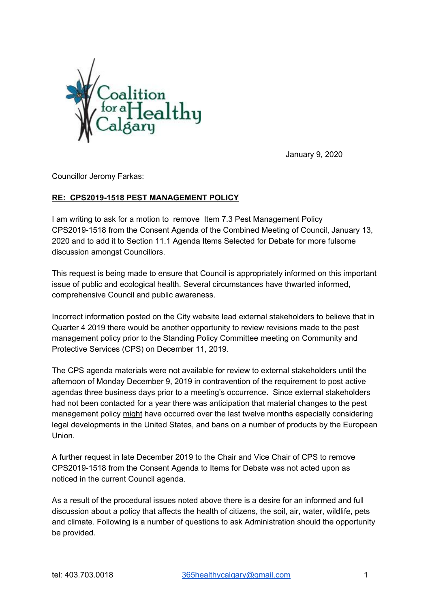

January 9, 2020

Councillor Jeromy Farkas:

## **RE: CPS2019-1518 PEST MANAGEMENT POLICY**

I am writing to ask for a motion to remove Item 7.3 Pest Management Policy CPS2019-1518 from the Consent Agenda of the Combined Meeting of Council, January 13, 2020 and to add it to Section 11.1 Agenda Items Selected for Debate for more fulsome discussion amongst Councillors.

This request is being made to ensure that Council is appropriately informed on this important issue of public and ecological health. Several circumstances have thwarted informed, comprehensive Council and public awareness.

Incorrect information posted on the City website lead external stakeholders to believe that in Quarter 4 2019 there would be another opportunity to review revisions made to the pest management policy prior to the Standing Policy Committee meeting on Community and Protective Services (CPS) on December 11, 2019.

The CPS agenda materials were not available for review to external stakeholders until the afternoon of Monday December 9, 2019 in contravention of the requirement to post active agendas three business days prior to a meeting's occurrence. Since external stakeholders had not been contacted for a year there was anticipation that material changes to the pest management policy might have occurred over the last twelve months especially considering legal developments in the United States, and bans on a number of products by the European Union.

A further request in late December 2019 to the Chair and Vice Chair of CPS to remove CPS2019-1518 from the Consent Agenda to Items for Debate was not acted upon as noticed in the current Council agenda.

As a result of the procedural issues noted above there is a desire for an informed and full discussion about a policy that affects the health of citizens, the soil, air, water, wildlife, pets and climate. Following is a number of questions to ask Administration should the opportunity be provided.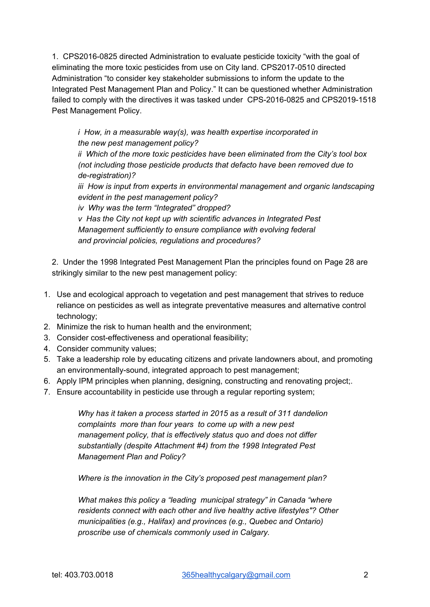1. CPS2016-0825 directed Administration to evaluate pesticide toxicity "with the goal of eliminating the more toxic pesticides from use on City land. CPS2017-0510 directed Administration "to consider key stakeholder submissions to inform the update to the Integrated Pest Management Plan and Policy." It can be questioned whether Administration failed to comply with the directives it was tasked under CPS-2016-0825 and CPS2019-1518 Pest Management Policy.

*i How, in a measurable way(s), was health expertise incorporated in the new pest management policy?*

*ii Which of the more toxic pesticides have been eliminated from the City's tool box (not including those pesticide products that defacto have been removed due to de-registration)?*

*iii How is input from experts in environmental management and organic landscaping evident in the pest management policy?*

*iv Why was the term "Integrated" dropped?*

*v Has the City not kept up with scientific advances in Integrated Pest Management sufficiently to ensure compliance with evolving federal and provincial policies, regulations and procedures?*

2. Under the 1998 Integrated Pest Management Plan the principles found on Page 28 are strikingly similar to the new pest management policy:

- 1. Use and ecological approach to vegetation and pest management that strives to reduce reliance on pesticides as well as integrate preventative measures and alternative control technology;
- 2. Minimize the risk to human health and the environment;
- 3. Consider cost-effectiveness and operational feasibility;
- 4. Consider community values;
- 5. Take a leadership role by educating citizens and private landowners about, and promoting an environmentally-sound, integrated approach to pest management;
- 6. Apply IPM principles when planning, designing, constructing and renovating project;.
- 7. Ensure accountability in pesticide use through a regular reporting system;

*Why has it taken a process started in 2015 as a result of 311 dandelion complaints more than four years to come up with a new pest management policy, that is effectively status quo and does not differ substantially (despite Attachment #4) from the 1998 Integrated Pest Management Plan and Policy?*

*Where is the innovation in the City's proposed pest management plan?*

*What makes this policy a "leading municipal strategy" in Canada "where residents connect with each other and live healthy active lifestyles"? Other municipalities (e.g., Halifax) and provinces (e.g., Quebec and Ontario) proscribe use of chemicals commonly used in Calgary.*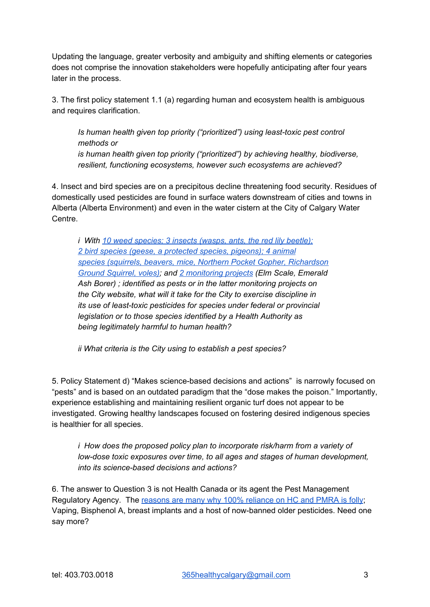Updating the language, greater verbosity and ambiguity and shifting elements or categories does not comprise the innovation stakeholders were hopefully anticipating after four years later in the process.

3. The first policy statement 1.1 (a) regarding human and ecosystem health is ambiguous and requires clarification.

*Is human health given top priority ("prioritized") using least-toxic pest control methods or is human health given top priority ("prioritized") by achieving healthy, biodiverse, resilient, functioning ecosystems, however such ecosystems are achieved?*

4. Insect and bird species are on a precipitous decline threatening food security. Residues of domestically used pesticides are found in surface waters downstream of cities and towns in Alberta (Alberta Environment) and even in the water cistern at the City of Calgary Water Centre.

*i With 10 weed [species;](https://www.calgary.ca/CSPS/Parks/Pages/Planning-and-Operations/Pest-Management/Common-pests-in-Calgary.aspx) 3 insects (wasps, ants, the red lily beetle); 2 bird species (geese, a [protected](https://www.calgary.ca/CSPS/Parks/Pages/Planning-and-Operations/Pest-Management/Common-pests-in-Calgary.aspx) species, pigeons); 4 animal species (squirrels, beavers, mice, Northern Pocket Gopher, [Richardson](https://www.calgary.ca/CSPS/Parks/Pages/Planning-and-Operations/Pest-Management/Common-pests-in-Calgary.aspx) Ground [Squirrel,](https://www.calgary.ca/CSPS/Parks/Pages/Planning-and-Operations/Pest-Management/Common-pests-in-Calgary.aspx) voles); and 2 [monitoring](https://www.calgary.ca/CSPS/Parks/Pages/Planning-and-Operations/Pest-Management/Invasive-plant-prevention-and-management.aspx) projects (Elm Scale, Emerald Ash Borer) ; identified as pests or in the latter monitoring projects on the City website, what will it take for the City to exercise discipline in its use of least-toxic pesticides for species under federal or provincial legislation or to those species identified by a Health Authority as being legitimately harmful to human health?*

*ii What criteria is the City using to establish a pest species?*

5. Policy Statement d) "Makes science-based decisions and actions" is narrowly focused on "pests" and is based on an outdated paradigm that the "dose makes the poison." Importantly, experience establishing and maintaining resilient organic turf does not appear to be investigated. Growing healthy landscapes focused on fostering desired indigenous species is healthier for all species.

*i How does the proposed policy plan to incorporate risk/harm from a variety of low-dose toxic exposures over time, to all ages and stages of human development, into its science-based decisions and actions?*

6. The answer to Question 3 is not Health Canada or its agent the Pest Management Regulatory Agency. The [reasons](http://www.preventcancernow.ca/wp-content/uploads/2017/10/FedPesticideReg-vs-LeastToxicApproaches-PCN-Feb2017.pdf) are many why 100% reliance on HC and PMRA is folly; Vaping, Bisphenol A, breast implants and a host of now-banned older pesticides. Need one say more?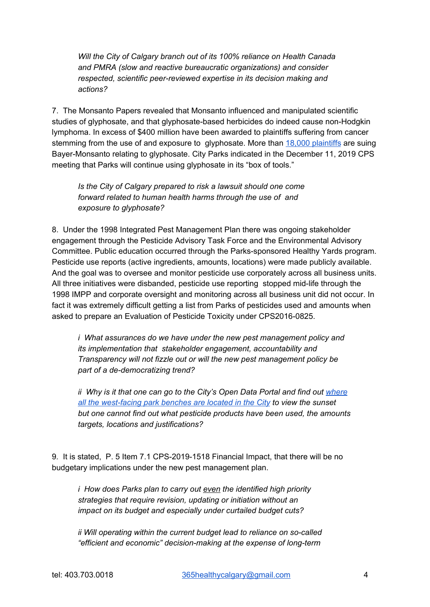*Will the City of Calgary branch out of its 100% reliance on Health Canada and PMRA (slow and reactive bureaucratic organizations) and consider respected, scientific peer-reviewed expertise in its decision making and actions?*

7. The Monsanto Papers revealed that Monsanto influenced and manipulated scientific studies of glyphosate, and that glyphosate-based herbicides do indeed cause non-Hodgkin lymphoma. In excess of \$400 million have been awarded to plaintiffs suffering from cancer stemming from the use of and exposure to glyphosate. More than 18,000 [plaintiffs](https://www.reuters.com/article/us-bayer-glyphosate-lawsuit-claims/bayer-expects-significant-surge-in-number-of-u-s-glyphosate-cases-idUSKBN1WV1KH) are suing Bayer-Monsanto relating to glyphosate. City Parks indicated in the December 11, 2019 CPS meeting that Parks will continue using glyphosate in its "box of tools."

*Is the City of Calgary prepared to risk a lawsuit should one come forward related to human health harms through the use of and exposure to glyphosate?*

8. Under the 1998 Integrated Pest Management Plan there was ongoing stakeholder engagement through the Pesticide Advisory Task Force and the Environmental Advisory Committee. Public education occurred through the Parks-sponsored Healthy Yards program. Pesticide use reports (active ingredients, amounts, locations) were made publicly available. And the goal was to oversee and monitor pesticide use corporately across all business units. All three initiatives were disbanded, pesticide use reporting stopped mid-life through the 1998 IMPP and corporate oversight and monitoring across all business unit did not occur. In fact it was extremely difficult getting a list from Parks of pesticides used and amounts when asked to prepare an Evaluation of Pesticide Toxicity under CPS2016-0825.

*i What assurances do we have under the new pest management policy and its implementation that stakeholder engagement, accountability and Transparency will not fizzle out or will the new pest management policy be part of a de-democratizing trend?*

*ii Why is it that one can go to the City's Open Data Portal and find out [where](https://www.cbc.ca/news/canada/calgary/calgary-sunset-benches-1.5408357) all the [west-facing](https://www.cbc.ca/news/canada/calgary/calgary-sunset-benches-1.5408357) park benches are located in the City to view the sunset but one cannot find out what pesticide products have been used, the amounts targets, locations and justifications?*

9*.* It is stated, P. 5 Item 7.1 CPS-2019-1518 Financial Impact, that there will be no budgetary implications under the new pest management plan.

*i How does Parks plan to carry out even the identified high priority strategies that require revision, updating or initiation without an impact on its budget and especially under curtailed budget cuts?*

*ii Will operating within the current budget lead to reliance on so-called "efficient and economic" decision-making at the expense of long-term*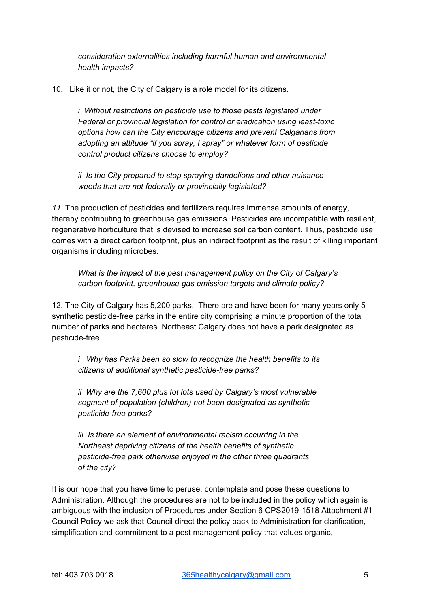*consideration externalities including harmful human and environmental health impacts?*

10. Like it or not, the City of Calgary is a role model for its citizens.

*i Without restrictions on pesticide use to those pests legislated under Federal or provincial legislation for control or eradication using least-toxic options how can the City encourage citizens and prevent Calgarians from adopting an attitude "if you spray, I spray" or whatever form of pesticide control product citizens choose to employ?*

*ii Is the City prepared to stop spraying dandelions and other nuisance weeds that are not federally or provincially legislated?*

*11*. The production of pesticides and fertilizers requires immense amounts of energy, thereby contributing to greenhouse gas emissions. Pesticides are incompatible with resilient, regenerative horticulture that is devised to increase soil carbon content. Thus, pesticide use comes with a direct carbon footprint, plus an indirect footprint as the result of killing important organisms including microbes.

*What is the impact of the pest management policy on the City of Calgary's carbon footprint, greenhouse gas emission targets and climate policy?*

12. The City of Calgary has 5,200 parks. There are and have been for many years only 5 synthetic pesticide-free parks in the entire city comprising a minute proportion of the total number of parks and hectares. Northeast Calgary does not have a park designated as pesticide-free.

*i Why has Parks been so slow to recognize the health benefits to its citizens of additional synthetic pesticide-free parks?*

*ii Why are the 7,600 plus tot lots used by Calgary's most vulnerable segment of population (children) not been designated as synthetic pesticide-free parks?*

*iii Is there an element of environmental racism occurring in the Northeast depriving citizens of the health benefits of synthetic pesticide-free park otherwise enjoyed in the other three quadrants of the city?*

It is our hope that you have time to peruse, contemplate and pose these questions to Administration. Although the procedures are not to be included in the policy which again is ambiguous with the inclusion of Procedures under Section 6 CPS2019-1518 Attachment #1 Council Policy we ask that Council direct the policy back to Administration for clarification, simplification and commitment to a pest management policy that values organic,